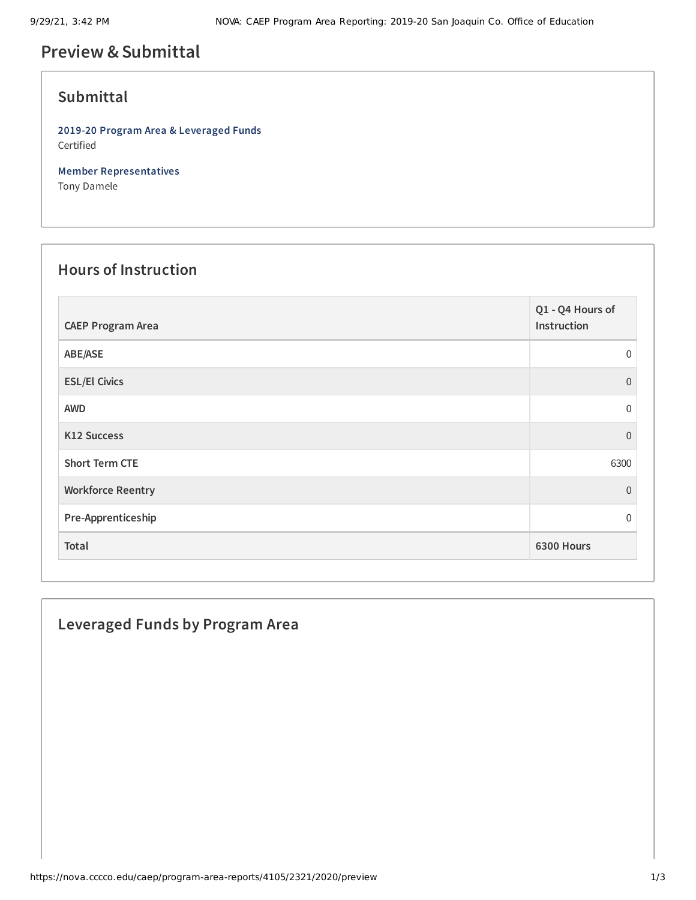# **Preview &Submittal**

# **Submittal**

**2019-20 Program Area & Leveraged Funds** Certified

**Member Representatives** Tony Damele

#### **Hours of Instruction**

| <b>CAEP Program Area</b> | Q1 - Q4 Hours of<br>Instruction |
|--------------------------|---------------------------------|
| ABE/ASE                  | $\Omega$                        |
| <b>ESL/El Civics</b>     | $\Omega$                        |
| <b>AWD</b>               | $\Omega$                        |
| K12 Success              | $\Omega$                        |
| <b>Short Term CTE</b>    | 6300                            |
| <b>Workforce Reentry</b> | $\Omega$                        |
| Pre-Apprenticeship       | $\Omega$                        |
| Total                    | 6300 Hours                      |

## **Leveraged Funds by Program Area**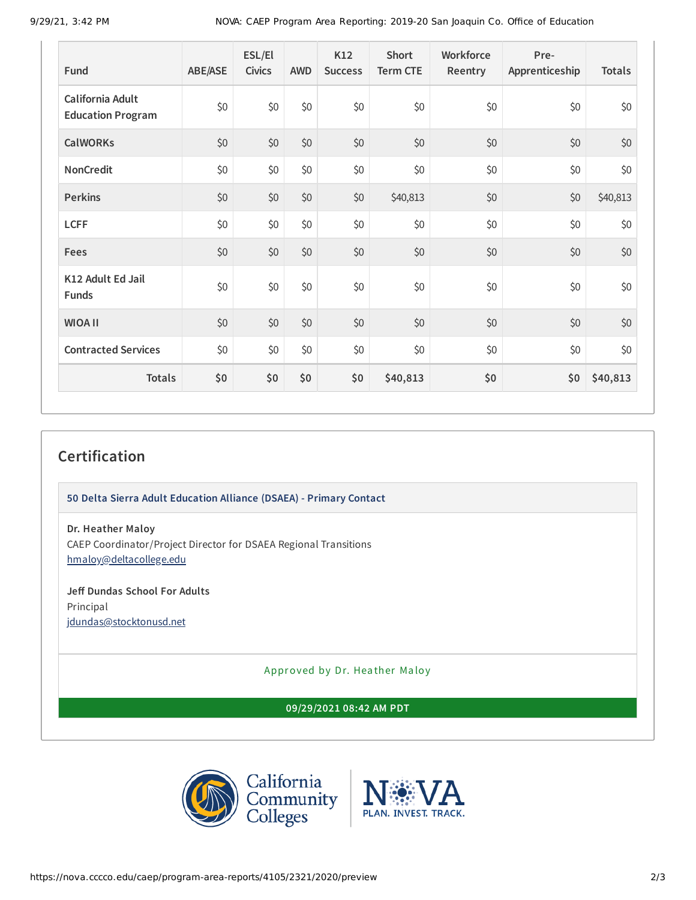9/29/21, 3:42 PM NOVA: CAEP Program Area Reporting: 2019-20 San Joaquin Co. Office of Education

| Fund                                         | <b>ABE/ASE</b> | ESL/El<br><b>Civics</b> | <b>AWD</b> | K12<br><b>Success</b> | <b>Short</b><br><b>Term CTE</b> | Workforce<br>Reentry | Pre-<br>Apprenticeship | <b>Totals</b> |
|----------------------------------------------|----------------|-------------------------|------------|-----------------------|---------------------------------|----------------------|------------------------|---------------|
| California Adult<br><b>Education Program</b> | \$0            | \$0                     | \$0        | \$0                   | \$0                             | \$0                  | \$0                    | \$0           |
| <b>CalWORKs</b>                              | \$0            | \$0                     | \$0        | \$0                   | \$0                             | \$0                  | \$0                    | \$0           |
| NonCredit                                    | \$0            | \$0                     | \$0        | \$0                   | \$0                             | \$0                  | \$0                    | \$0           |
| <b>Perkins</b>                               | \$0            | \$0                     | \$0        | $$0$$                 | \$40,813                        | \$0                  | \$0                    | \$40,813      |
| <b>LCFF</b>                                  | \$0            | \$0                     | \$0        | \$0                   | \$0                             | \$0                  | \$0                    | \$0           |
| <b>Fees</b>                                  | \$0            | \$0                     | \$0        | \$0                   | \$0                             | \$0                  | \$0                    | \$0           |
| K12 Adult Ed Jail<br>Funds                   | \$0            | \$0                     | \$0        | \$0                   | \$0                             | \$0                  | \$0                    | \$0           |
| <b>WIOA II</b>                               | \$0            | \$0                     | \$0        | \$0                   | \$0                             | \$0                  | \$0                    | \$0           |
| <b>Contracted Services</b>                   | \$0            | \$0                     | \$0        | \$0                   | \$0                             | \$0                  | \$0                    | \$0           |
| <b>Totals</b>                                | \$0            | \$0                     | \$0        | \$0                   | \$40,813                        | \$0                  | \$0                    | \$40,813      |

### **Certification**

**50 Delta Sierra Adult Education Alliance (DSAEA) - Primary Contact**

**Dr. Heather Maloy**

CAEP Coordinator/Project Director for DSAEA Regional Transitions [hmaloy@deltacollege.edu](mailto:hmaloy@deltacollege.edu)

**Jeff Dundas School For Adults** Principal [jdundas@stocktonusd.net](mailto:jdundas@stocktonusd.net)

Approved by Dr. Heather Maloy

**09/29/2021 08:42 AM PDT**